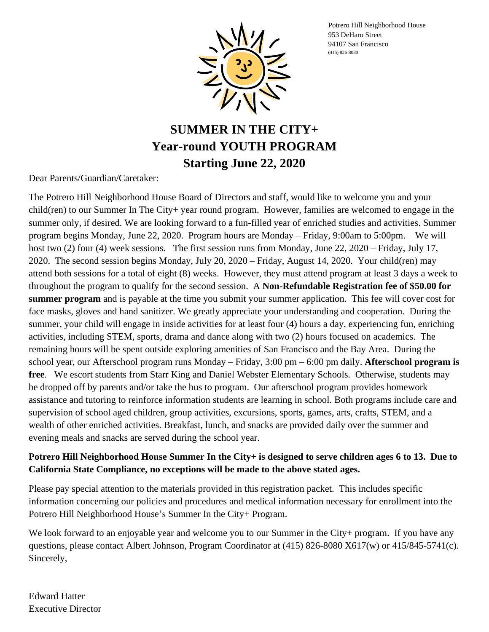Potrero Hill Neighborhood House 953 DeHaro Street 94107 San Francisco (415) 826-8080



## **SUMMER IN THE CITY+ Year-round YOUTH PROGRAM Starting June 22, 2020**

Dear Parents/Guardian/Caretaker:

The Potrero Hill Neighborhood House Board of Directors and staff, would like to welcome you and your child(ren) to our Summer In The City+ year round program. However, families are welcomed to engage in the summer only, if desired. We are looking forward to a fun-filled year of enriched studies and activities. Summer program begins Monday, June 22, 2020. Program hours are Monday – Friday, 9:00am to 5:00pm. We will host two (2) four (4) week sessions. The first session runs from Monday, June 22, 2020 – Friday, July 17, 2020. The second session begins Monday, July 20, 2020 – Friday, August 14, 2020. Your child(ren) may attend both sessions for a total of eight (8) weeks. However, they must attend program at least 3 days a week to throughout the program to qualify for the second session. A **Non-Refundable Registration fee of \$50.00 for summer program** and is payable at the time you submit your summer application. This fee will cover cost for face masks, gloves and hand sanitizer. We greatly appreciate your understanding and cooperation. During the summer, your child will engage in inside activities for at least four (4) hours a day, experiencing fun, enriching activities, including STEM, sports, drama and dance along with two (2) hours focused on academics. The remaining hours will be spent outside exploring amenities of San Francisco and the Bay Area. During the school year, our Afterschool program runs Monday – Friday, 3:00 pm – 6:00 pm daily. **Afterschool program is free**. We escort students from Starr King and Daniel Webster Elementary Schools. Otherwise, students may be dropped off by parents and/or take the bus to program. Our afterschool program provides homework assistance and tutoring to reinforce information students are learning in school. Both programs include care and supervision of school aged children, group activities, excursions, sports, games, arts, crafts, STEM, and a wealth of other enriched activities. Breakfast, lunch, and snacks are provided daily over the summer and evening meals and snacks are served during the school year.

#### **Potrero Hill Neighborhood House Summer In the City+ is designed to serve children ages 6 to 13. Due to California State Compliance, no exceptions will be made to the above stated ages.**

Please pay special attention to the materials provided in this registration packet. This includes specific information concerning our policies and procedures and medical information necessary for enrollment into the Potrero Hill Neighborhood House's Summer In the City+ Program.

We look forward to an enjoyable year and welcome you to our Summer in the City+ program. If you have any questions, please contact Albert Johnson, Program Coordinator at (415) 826-8080 X617(w) or 415/845-5741(c). Sincerely,

Edward Hatter Executive Director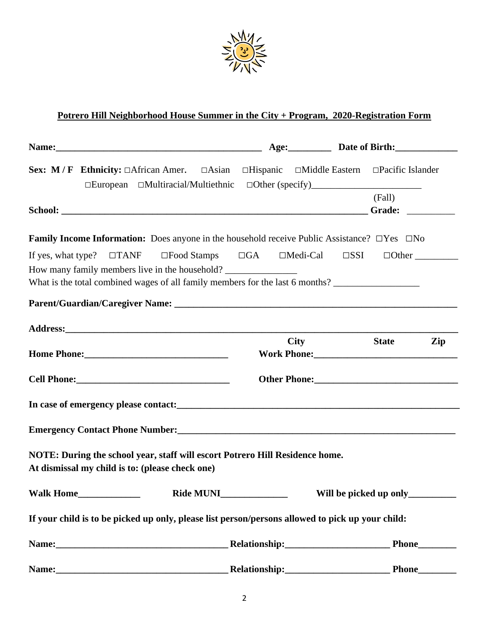

#### **Potrero Hill Neighborhood House Summer in the City + Program, 2020-Registration Form**

|                                                 |                                                |                                                                                                                                                                                                         | Age: Date of Birth:             |     |
|-------------------------------------------------|------------------------------------------------|---------------------------------------------------------------------------------------------------------------------------------------------------------------------------------------------------------|---------------------------------|-----|
|                                                 |                                                | Sex: M/F Ethnicity: $\Box$ African Amer. $\Box$ Asian $\Box$ Hispanic $\Box$ Middle Eastern $\Box$ Pacific Islander<br>□European □Multiracial/Multiethnic □Other (specify)_____________________________ |                                 |     |
|                                                 |                                                |                                                                                                                                                                                                         | (Fall)                          |     |
|                                                 |                                                | <b>Family Income Information:</b> Does anyone in the household receive Public Assistance? $\Box$ Yes $\Box$ No                                                                                          |                                 |     |
|                                                 | How many family members live in the household? | What is the total combined wages of all family members for the last 6 months?                                                                                                                           |                                 |     |
|                                                 |                                                |                                                                                                                                                                                                         |                                 |     |
|                                                 |                                                |                                                                                                                                                                                                         |                                 |     |
|                                                 |                                                | <b>City</b>                                                                                                                                                                                             | <b>State</b>                    | Zip |
|                                                 |                                                | Other Phone: 2000 2010 2010 2010 2010 2010 2021 2022 2022 2023 2024 2022 2022 2023 2024 2022 2023 2024 2025 20                                                                                          |                                 |     |
|                                                 |                                                | In case of emergency please contact:<br><u>In case of emergency please contact:</u>                                                                                                                     |                                 |     |
|                                                 |                                                | Emergency Contact Phone Number:<br><u>Emergency Contact Phone Number:</u>                                                                                                                               |                                 |     |
| At dismissal my child is to: (please check one) |                                                | NOTE: During the school year, staff will escort Potrero Hill Residence home.                                                                                                                            |                                 |     |
|                                                 | <b>Ride MUNI</b>                               |                                                                                                                                                                                                         | Will be picked up only_________ |     |
|                                                 |                                                | If your child is to be picked up only, please list person/persons allowed to pick up your child:                                                                                                        |                                 |     |
|                                                 |                                                |                                                                                                                                                                                                         | <b>Phone</b>                    |     |
|                                                 |                                                |                                                                                                                                                                                                         |                                 |     |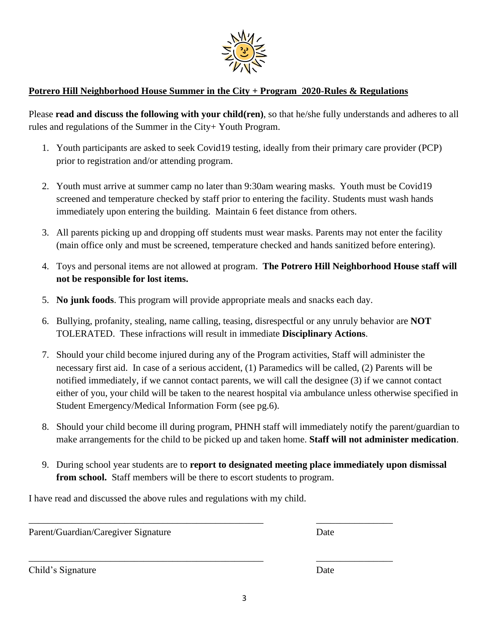

#### **Potrero Hill Neighborhood House Summer in the City + Program 2020-Rules & Regulations**

Please **read and discuss the following with your child(ren)**, so that he/she fully understands and adheres to all rules and regulations of the Summer in the City+ Youth Program.

- 1. Youth participants are asked to seek Covid19 testing, ideally from their primary care provider (PCP) prior to registration and/or attending program.
- 2. Youth must arrive at summer camp no later than 9:30am wearing masks. Youth must be Covid19 screened and temperature checked by staff prior to entering the facility. Students must wash hands immediately upon entering the building. Maintain 6 feet distance from others.
- 3. All parents picking up and dropping off students must wear masks. Parents may not enter the facility (main office only and must be screened, temperature checked and hands sanitized before entering).
- 4. Toys and personal items are not allowed at program. **The Potrero Hill Neighborhood House staff will not be responsible for lost items.**
- 5. **No junk foods**. This program will provide appropriate meals and snacks each day.
- 6. Bullying, profanity, stealing, name calling, teasing, disrespectful or any unruly behavior are **NOT** TOLERATED. These infractions will result in immediate **Disciplinary Actions**.
- 7. Should your child become injured during any of the Program activities, Staff will administer the necessary first aid. In case of a serious accident, (1) Paramedics will be called, (2) Parents will be notified immediately, if we cannot contact parents, we will call the designee (3) if we cannot contact either of you, your child will be taken to the nearest hospital via ambulance unless otherwise specified in Student Emergency/Medical Information Form (see pg.6).
- 8. Should your child become ill during program, PHNH staff will immediately notify the parent/guardian to make arrangements for the child to be picked up and taken home. **Staff will not administer medication**.
- 9. During school year students are to **report to designated meeting place immediately upon dismissal from school.** Staff members will be there to escort students to program.

\_\_\_\_\_\_\_\_\_\_\_\_\_\_\_\_\_\_\_\_\_\_\_\_\_\_\_\_\_\_\_\_\_\_\_\_\_\_\_\_\_\_\_\_\_\_\_\_\_ \_\_\_\_\_\_\_\_\_\_\_\_\_\_\_\_

\_\_\_\_\_\_\_\_\_\_\_\_\_\_\_\_\_\_\_\_\_\_\_\_\_\_\_\_\_\_\_\_\_\_\_\_\_\_\_\_\_\_\_\_\_\_\_\_\_ \_\_\_\_\_\_\_\_\_\_\_\_\_\_\_\_

I have read and discussed the above rules and regulations with my child.

Parent/Guardian/Caregiver Signature Date

Child's Signature Date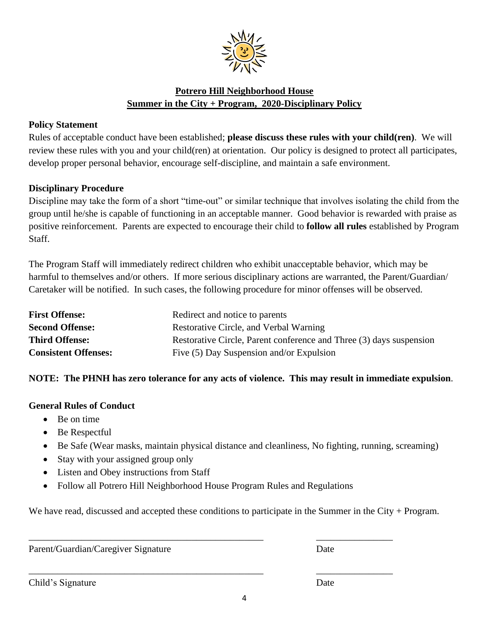

#### **Potrero Hill Neighborhood House Summer in the City + Program, 2020-Disciplinary Policy**

#### **Policy Statement**

Rules of acceptable conduct have been established; **please discuss these rules with your child(ren)**. We will review these rules with you and your child(ren) at orientation. Our policy is designed to protect all participates, develop proper personal behavior, encourage self-discipline, and maintain a safe environment.

#### **Disciplinary Procedure**

Discipline may take the form of a short "time-out" or similar technique that involves isolating the child from the group until he/she is capable of functioning in an acceptable manner. Good behavior is rewarded with praise as positive reinforcement. Parents are expected to encourage their child to **follow all rules** established by Program Staff.

The Program Staff will immediately redirect children who exhibit unacceptable behavior, which may be harmful to themselves and/or others. If more serious disciplinary actions are warranted, the Parent/Guardian/ Caretaker will be notified. In such cases, the following procedure for minor offenses will be observed.

| <b>First Offense:</b>       | Redirect and notice to parents                                      |
|-----------------------------|---------------------------------------------------------------------|
| <b>Second Offense:</b>      | Restorative Circle, and Verbal Warning                              |
| <b>Third Offense:</b>       | Restorative Circle, Parent conference and Three (3) days suspension |
| <b>Consistent Offenses:</b> | Five (5) Day Suspension and/or Expulsion                            |

#### **NOTE: The PHNH has zero tolerance for any acts of violence. This may result in immediate expulsion**.

#### **General Rules of Conduct**

- Be on time
- Be Respectful
- Be Safe (Wear masks, maintain physical distance and cleanliness, No fighting, running, screaming)
- Stay with your assigned group only
- Listen and Obey instructions from Staff
- Follow all Potrero Hill Neighborhood House Program Rules and Regulations

\_\_\_\_\_\_\_\_\_\_\_\_\_\_\_\_\_\_\_\_\_\_\_\_\_\_\_\_\_\_\_\_\_\_\_\_\_\_\_\_\_\_\_\_\_\_\_\_\_ \_\_\_\_\_\_\_\_\_\_\_\_\_\_\_\_

\_\_\_\_\_\_\_\_\_\_\_\_\_\_\_\_\_\_\_\_\_\_\_\_\_\_\_\_\_\_\_\_\_\_\_\_\_\_\_\_\_\_\_\_\_\_\_\_\_ \_\_\_\_\_\_\_\_\_\_\_\_\_\_\_\_

We have read, discussed and accepted these conditions to participate in the Summer in the City + Program.

Parent/Guardian/Caregiver Signature Date

Child's Signature Date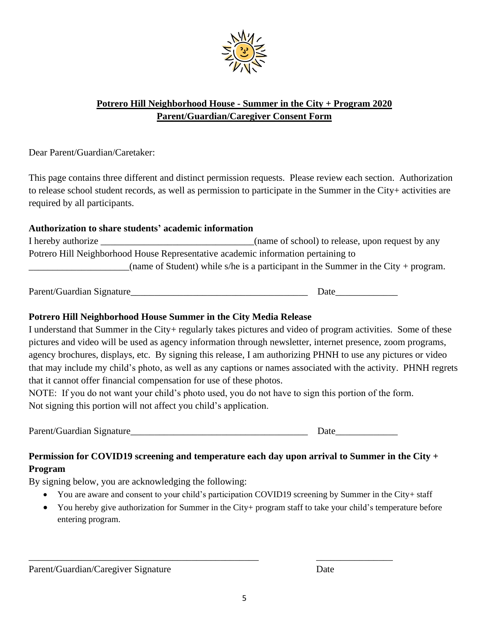

#### **Potrero Hill Neighborhood House - Summer in the City + Program 2020 Parent/Guardian/Caregiver Consent Form**

Dear Parent/Guardian/Caretaker:

This page contains three different and distinct permission requests. Please review each section. Authorization to release school student records, as well as permission to participate in the Summer in the City+ activities are required by all participants.

#### **Authorization to share students' academic information**

I hereby authorize \_\_\_\_\_\_\_\_\_\_\_\_\_\_\_\_\_\_\_\_\_\_\_\_\_\_\_\_\_\_\_(name of school) to release, upon request by any Potrero Hill Neighborhood House Representative academic information pertaining to (name of Student) while s/he is a participant in the Summer in the City + program.

Parent/Guardian Signature\_\_\_\_\_\_\_\_\_\_\_\_\_\_\_\_\_\_\_\_\_\_\_\_\_\_\_\_\_\_\_\_\_\_\_\_\_ Date\_\_\_\_\_\_\_\_\_\_\_\_\_

#### **Potrero Hill Neighborhood House Summer in the City Media Release**

I understand that Summer in the City+ regularly takes pictures and video of program activities. Some of these pictures and video will be used as agency information through newsletter, internet presence, zoom programs, agency brochures, displays, etc. By signing this release, I am authorizing PHNH to use any pictures or video that may include my child's photo, as well as any captions or names associated with the activity. PHNH regrets that it cannot offer financial compensation for use of these photos.

NOTE: If you do not want your child's photo used, you do not have to sign this portion of the form. Not signing this portion will not affect you child's application.

Parent/Guardian Signature\_\_\_\_\_\_\_\_\_\_\_\_\_\_\_\_\_\_\_\_\_\_\_\_\_\_\_\_\_\_\_\_\_\_\_\_\_ Date\_\_\_\_\_\_\_\_\_\_\_\_\_

#### **Permission for COVID19 screening and temperature each day upon arrival to Summer in the City + Program**

By signing below, you are acknowledging the following:

• You are aware and consent to your child's participation COVID19 screening by Summer in the City+ staff

\_\_\_\_\_\_\_\_\_\_\_\_\_\_\_\_\_\_\_\_\_\_\_\_\_\_\_\_\_\_\_\_\_\_\_\_\_\_\_\_\_\_\_\_\_\_\_\_ \_\_\_\_\_\_\_\_\_\_\_\_\_\_\_\_

• You hereby give authorization for Summer in the City+ program staff to take your child's temperature before entering program.

Parent/Guardian/Caregiver Signature Date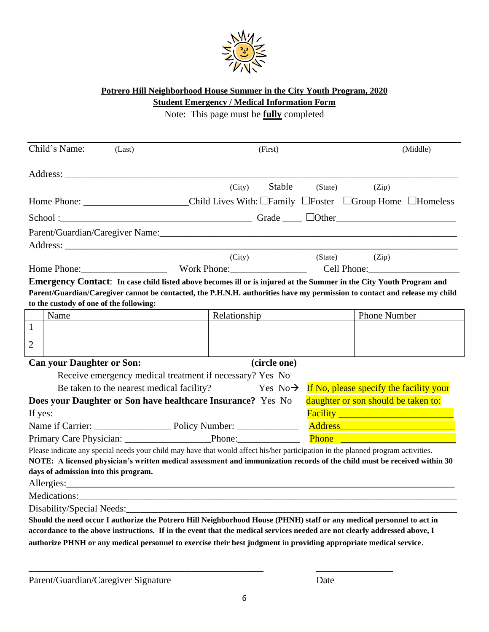

#### **Potrero Hill Neighborhood House Summer in the City Youth Program, 2020 Student Emergency / Medical Information Form**

Note: This page must be **fully** completed

|                                                                                                                                                                                                                                                                                              | Child's Name:                        | (Last)                                    |                                                                                                                                                                                                                                                                                                                                 | (First)      |                                     |                                                                | (Middle) |
|----------------------------------------------------------------------------------------------------------------------------------------------------------------------------------------------------------------------------------------------------------------------------------------------|--------------------------------------|-------------------------------------------|---------------------------------------------------------------------------------------------------------------------------------------------------------------------------------------------------------------------------------------------------------------------------------------------------------------------------------|--------------|-------------------------------------|----------------------------------------------------------------|----------|
|                                                                                                                                                                                                                                                                                              |                                      |                                           |                                                                                                                                                                                                                                                                                                                                 |              |                                     |                                                                |          |
|                                                                                                                                                                                                                                                                                              |                                      |                                           | (City)                                                                                                                                                                                                                                                                                                                          | Stable       |                                     | (State)<br>(Zip)                                               |          |
|                                                                                                                                                                                                                                                                                              |                                      |                                           | Home Phone: ____________________________Child Lives With: _Family _Foster _Group Home _Homeless                                                                                                                                                                                                                                 |              |                                     |                                                                |          |
|                                                                                                                                                                                                                                                                                              |                                      |                                           | $School:$ $School:$ $School:$ $School:$ $School:$ $School:$ $School:$ $School:$ $School:$ $School:$ $School:$ $School:$ $School:$ $School:$ $School:$ $School:$ $School:$ $School:$ $School:$ $School:$ $School:$ $School:$ $School:$ $School:$ $School:$ $School:$ $School:$ $School:$ $School:$ $School:$ $School:$ $School:$ |              |                                     |                                                                |          |
|                                                                                                                                                                                                                                                                                              |                                      |                                           |                                                                                                                                                                                                                                                                                                                                 |              |                                     |                                                                |          |
|                                                                                                                                                                                                                                                                                              |                                      |                                           |                                                                                                                                                                                                                                                                                                                                 |              |                                     |                                                                |          |
|                                                                                                                                                                                                                                                                                              |                                      |                                           | (City)                                                                                                                                                                                                                                                                                                                          |              |                                     | (Zip)<br>(State)                                               |          |
|                                                                                                                                                                                                                                                                                              |                                      |                                           | Home Phone: Work Phone:                                                                                                                                                                                                                                                                                                         |              |                                     | Cell Phone: New York 1999                                      |          |
| Emergency Contact: In case child listed above becomes ill or is injured at the Summer in the City Youth Program and<br>Parent/Guardian/Caregiver cannot be contacted, the P.H.N.H. authorities have my permission to contact and release my child<br>to the custody of one of the following: |                                      |                                           |                                                                                                                                                                                                                                                                                                                                 |              |                                     |                                                                |          |
|                                                                                                                                                                                                                                                                                              | Name                                 |                                           | Relationship                                                                                                                                                                                                                                                                                                                    |              |                                     | <b>Phone Number</b>                                            |          |
| $\mathbf{1}$                                                                                                                                                                                                                                                                                 |                                      |                                           |                                                                                                                                                                                                                                                                                                                                 |              |                                     |                                                                |          |
| $\overline{2}$                                                                                                                                                                                                                                                                               |                                      |                                           |                                                                                                                                                                                                                                                                                                                                 |              |                                     |                                                                |          |
|                                                                                                                                                                                                                                                                                              | <b>Can your Daughter or Son:</b>     |                                           |                                                                                                                                                                                                                                                                                                                                 | (circle one) |                                     |                                                                |          |
|                                                                                                                                                                                                                                                                                              |                                      |                                           | Receive emergency medical treatment if necessary? Yes No                                                                                                                                                                                                                                                                        |              |                                     |                                                                |          |
|                                                                                                                                                                                                                                                                                              |                                      | Be taken to the nearest medical facility? |                                                                                                                                                                                                                                                                                                                                 |              |                                     | $Yes\ No \rightarrow\$ If No, please specify the facility your |          |
| daughter or son should be taken to:<br>Does your Daughter or Son have healthcare Insurance? Yes No                                                                                                                                                                                           |                                      |                                           |                                                                                                                                                                                                                                                                                                                                 |              |                                     |                                                                |          |
| If yes:                                                                                                                                                                                                                                                                                      |                                      |                                           |                                                                                                                                                                                                                                                                                                                                 |              |                                     | Facility <u>Container and Theory</u>                           |          |
|                                                                                                                                                                                                                                                                                              |                                      |                                           |                                                                                                                                                                                                                                                                                                                                 |              |                                     |                                                                |          |
|                                                                                                                                                                                                                                                                                              |                                      |                                           |                                                                                                                                                                                                                                                                                                                                 |              | <b>Phone <i>Complete Report</i></b> |                                                                |          |
|                                                                                                                                                                                                                                                                                              | days of admission into this program. |                                           | Please indicate any special needs your child may have that would affect his/her participation in the planned program activities.<br>NOTE: A licensed physician's written medical assessment and immunization records of the child must be received within 30                                                                    |              |                                     |                                                                |          |
|                                                                                                                                                                                                                                                                                              |                                      |                                           | Medications: Network of the Medications of the Medications of the Medications of the Medications of the Medications of the Medications of the Medications of the Medications of the Medications of the Medications of the Medi                                                                                                  |              |                                     |                                                                |          |
|                                                                                                                                                                                                                                                                                              |                                      |                                           |                                                                                                                                                                                                                                                                                                                                 |              |                                     |                                                                |          |
|                                                                                                                                                                                                                                                                                              |                                      |                                           | Should the need occur I authorize the Potrero Hill Neighborhood House (PHNH) staff or any medical personnel to act in                                                                                                                                                                                                           |              |                                     |                                                                |          |
|                                                                                                                                                                                                                                                                                              |                                      |                                           | accordance to the above instructions. If in the event that the medical services needed are not clearly addressed above, I<br>authorize PHNH or any medical personnel to exercise their best judgment in providing appropriate medical service.                                                                                  |              |                                     |                                                                |          |
|                                                                                                                                                                                                                                                                                              |                                      |                                           |                                                                                                                                                                                                                                                                                                                                 |              |                                     |                                                                |          |

\_\_\_\_\_\_\_\_\_\_\_\_\_\_\_\_\_\_\_\_\_\_\_\_\_\_\_\_\_\_\_\_\_\_\_\_\_\_\_\_\_\_\_\_\_\_\_\_\_ \_\_\_\_\_\_\_\_\_\_\_\_\_\_\_\_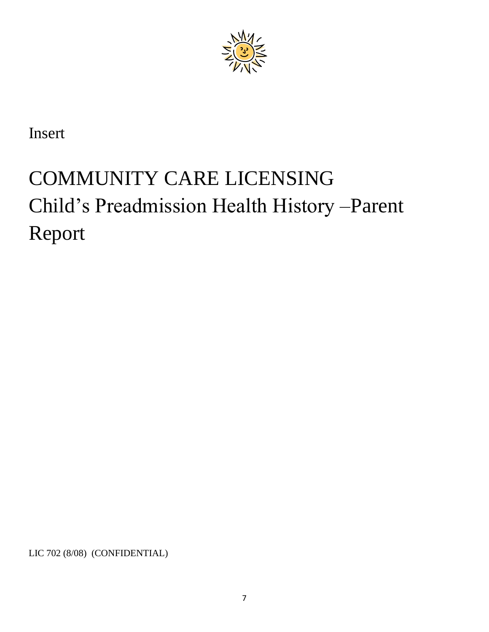

Insert

# COMMUNITY CARE LICENSING Child's Preadmission Health History –Parent Report

LIC 702 (8/08) (CONFIDENTIAL)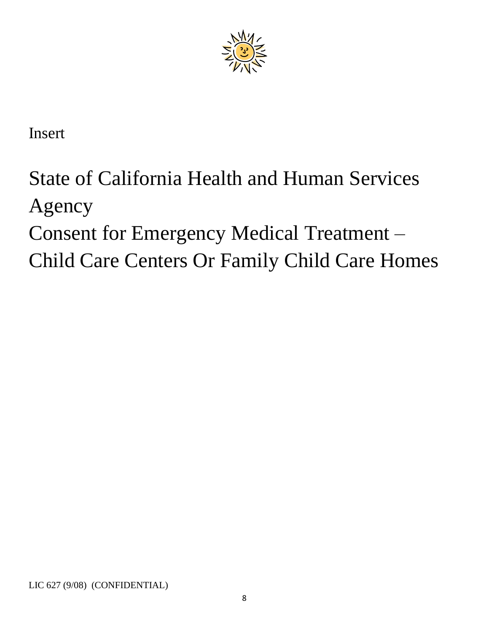

Insert

# State of California Health and Human Services Agency Consent for Emergency Medical Treatment – Child Care Centers Or Family Child Care Homes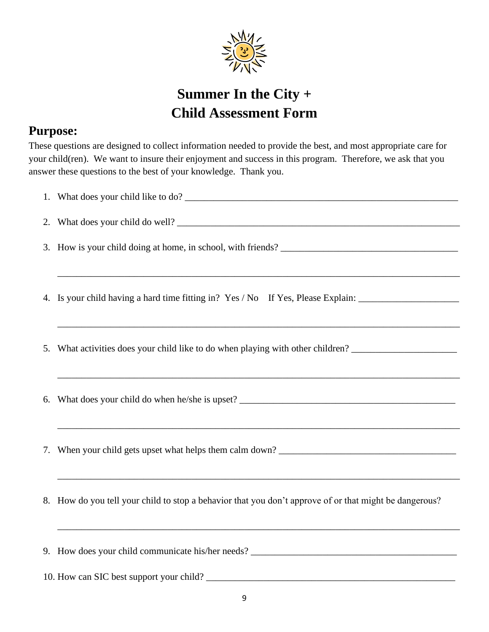

## **Summer In the City + Child Assessment Form**

### **Purpose:**

These questions are designed to collect information needed to provide the best, and most appropriate care for your child(ren). We want to insure their enjoyment and success in this program. Therefore, we ask that you answer these questions to the best of your knowledge. Thank you.

| <u> 1980 - Johann John Harry Harry Harry Harry Harry Harry Harry Harry Harry Harry Harry Harry Harry Harry Harry</u><br>4. Is your child having a hard time fitting in? Yes / No If Yes, Please Explain: ___________________ |
|------------------------------------------------------------------------------------------------------------------------------------------------------------------------------------------------------------------------------|
| ,我们也不会有什么。""我们的人,我们也不会有什么?""我们的人,我们也不会有什么?""我们的人,我们也不会有什么?""我们的人,我们也不会有什么?""我们的人<br>5. What activities does your child like to do when playing with other children? ____________________                                     |
| ,我们也不能在这里的时候,我们也不能在这里的时候,我们也不能会在这里的时候,我们也不能会在这里的时候,我们也不能会在这里的时候,我们也不能会在这里的时候,我们也不                                                                                                                                            |
|                                                                                                                                                                                                                              |
| 8. How do you tell your child to stop a behavior that you don't approve of or that might be dangerous?                                                                                                                       |
| ,我们也不会有什么。""我们的人,我们也不会有什么?""我们的人,我们也不会有什么?""我们的人,我们的人,我们的人,我们的人,我们的人,我们的人,我们的人,我                                                                                                                                             |
|                                                                                                                                                                                                                              |
|                                                                                                                                                                                                                              |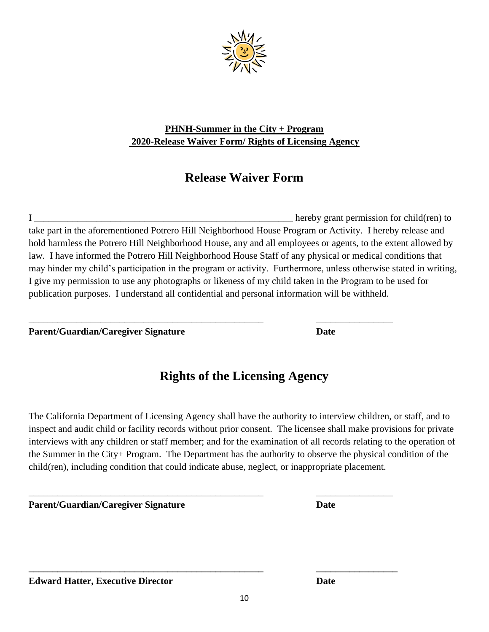

#### **PHNH-Summer in the City + Program 2020-Release Waiver Form/ Rights of Licensing Agency**

## **Release Waiver Form**

I \_\_\_\_\_\_\_\_\_\_\_\_\_\_\_\_\_\_\_\_\_\_\_\_\_\_\_\_\_\_\_\_\_\_\_\_\_\_\_\_\_\_\_\_\_\_\_\_\_\_\_\_\_\_ hereby grant permission for child(ren) to take part in the aforementioned Potrero Hill Neighborhood House Program or Activity. I hereby release and hold harmless the Potrero Hill Neighborhood House, any and all employees or agents, to the extent allowed by law. I have informed the Potrero Hill Neighborhood House Staff of any physical or medical conditions that may hinder my child's participation in the program or activity. Furthermore, unless otherwise stated in writing, I give my permission to use any photographs or likeness of my child taken in the Program to be used for publication purposes. I understand all confidential and personal information will be withheld.

\_\_\_\_\_\_\_\_\_\_\_\_\_\_\_\_\_\_\_\_\_\_\_\_\_\_\_\_\_\_\_\_\_\_\_\_\_\_\_\_\_\_\_\_\_\_\_\_\_ \_\_\_\_\_\_\_\_\_\_\_\_\_\_\_\_

\_\_\_\_\_\_\_\_\_\_\_\_\_\_\_\_\_\_\_\_\_\_\_\_\_\_\_\_\_\_\_\_\_\_\_\_\_\_\_\_\_\_\_\_\_\_\_\_\_ \_\_\_\_\_\_\_\_\_\_\_\_\_\_\_\_

**\_\_\_\_\_\_\_\_\_\_\_\_\_\_\_\_\_\_\_\_\_\_\_\_\_\_\_\_\_\_\_\_\_\_\_\_\_\_\_\_\_\_\_\_\_\_\_\_\_ \_\_\_\_\_\_\_\_\_\_\_\_\_\_\_\_\_**

**Parent/Guardian/Caregiver Signature Date**

## **Rights of the Licensing Agency**

The California Department of Licensing Agency shall have the authority to interview children, or staff, and to inspect and audit child or facility records without prior consent. The licensee shall make provisions for private interviews with any children or staff member; and for the examination of all records relating to the operation of the Summer in the City+ Program. The Department has the authority to observe the physical condition of the child(ren), including condition that could indicate abuse, neglect, or inappropriate placement.

**Parent/Guardian/Caregiver Signature Date**